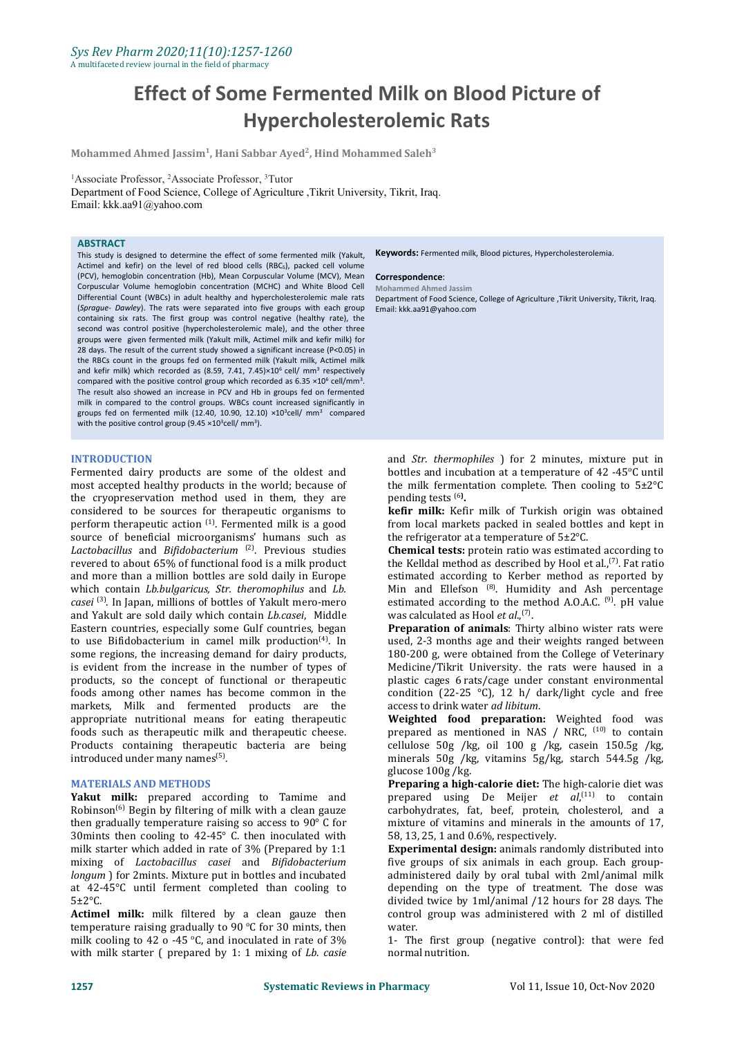# **Effect of Some Fermented Milk on Blood Picture of Hypercholesterolemic Rats**

**Mohammed Ahmed Jassim<sup>1</sup> , Hani Sabbar Ayed 2 , Hind Mohammed Saleh 3**

<sup>1</sup>Associate Professor, <sup>2</sup>Associate Professor, <sup>3</sup>Tutor

Department of Food Science, College of Agriculture ,Tikrit University, Tikrit, Iraq. Email: kkk.aa91@yahoo.com

### **ABSTRACT**

This study is designed to determine the effect of some fermented milk (Yakult, Keywords: Fermented milk, Blood pictures, Hypercholesterolemia. Actimel and kefir) on the level of red blood cells (RBCs), packed cell volume (PCV), hemoglobin concentration (Hb), Mean Corpuscular Volume (MCV), Mean **Correspondence**: Corpuscular Volume hemoglobin concentration (MCHC) and White Blood Cell Differential Count (WBCs) in adult healthy and hypercholesterolemic male rats (*Sprague- Dawley*). The ratswere separated into five groups with each group containing six rats. The first group was control negative (healthy rate), the second was control positive (hypercholesterolemic male), and the other three groups were given fermented milk (Yakult milk, Actimel milk and kefir milk) for 28 days. The result of the current study showed a significant increase (P<0.05) in the RBCs count in the groups fed on fermented milk (Yakult milk, Actimel milk and kefir milk) which recorded as (8.59, 7.41, 7.45) $\times 10^6$  cell/ mm<sup>3</sup> respectively compared with the positive control group which recorded as  $6.35 \times 10^6$  cell/mm<sup>3</sup>. . The result also showed an increase in PCV and Hb in groups fed on fermented milk in compared to the control groups. WBCs count increased significantly in groups fed on fermented milk (12.40, 10.90, 12.10)  $\times$ 10<sup>3</sup>cell/ mm<sup>3</sup> compared with the positive control group (9.45  $\times$ 10<sup>3</sup>cell/ mm<sup>3</sup>). some fermented milk (Yakult, **Keywords:** Fermented milk, Blood pictures, Hypercholesterolemia.<br>
Is (RBCs), packed cell volume<br>
IMCHC) Mean **Correspondence**:<br>
MCHC) and White Blood Cell Mohammed Ahmed Jassim<br>
ypercholestero

### **INTRODUCTION**

Fermented dairy products are some of the oldest and most accepted healthy products in the world; because of the cryopreservation method used in them, they are considered to be sources for therapeutic organisms to perform therapeutic action <sup>(1)</sup>. Fermented milk is a good from local marl source of beneficial microorganisms' humans such as *Lactobacillus* and *Bifidobacterium* (2) . Previous studies revered to about 65% of functional food is a milk product and more than a million bottles are sold daily in Europe which contain *Lb.bulgaricus, Str. theromophilus* and *Lb.* which contain *Lb.bulgaricus, Str. theromophilus* and *Lb. casei* (3) . In Japan, millions of bottles of Yakult mero-mero and Yakult are sold daily which contain *Lb.casei*, Middle Eastern countries, especially some Gulf countries, began to use Bifidobacterium in camel milk production<sup>(4)</sup>. In wised, 2-3 some regions, the increasing demand for dairy products, is evident from the increase in the number of types of products, so the concept of functional or therapeutic foods among other names has become common in the condition  $(22-25 \degree C)$ , 12 h/ dimarkets, Milk and fermented products are the access to drink water *ad libitum*. markets, Milk and fermented products are the appropriate nutritional means for eating therapeutic foods such as therapeutic milk and therapeutic cheese. Products containing therapeutic bacteria are being introduced under many names<sup>(5)</sup>. .

### **MATERIALS AND METHODS**

**Yakut milk:** prepared according to Tamime and prepared using De Meijer *et al*,<sup>(11)</sup> to contain Robinson<sup>(6)</sup> Begin by filtering of milk with a clean gauze carbohydrates, fat, beef, protein, cholesterol, and a Robinson<sup>(6)</sup> Begin by filtering of milk with a clean gauze carbohydrato then gradually temperature raising so access to  $90^{\circ}$  C for mixture of vitamins and minerals 30 mints then cooling to 42-45° C. then inoculated with 58, 13, 25, 1 and 0.6%, respectively. 30mints then cooling to 42-45° C. then inoculated with milk starter which added in rate of 3% (Prepared by 1:1 mixing of *Lactobacillus casei* and *Bifidobacterium longum* ) for 2mints. Mixture put in bottles and incubated at 42-45°C until ferment completed than cooling to  $5\pm2$ °C.

Actimel milk: milk filtered by a clean gauze then temperature raising gradually to 90 °C for 30 mints, then water. milk cooling to 42 o -45 °C, and inoculated in rate of  $3\%$  1 The first group (negative with milk starter ( prepared by 1: 1 mixing of *Lb. casie*

Department of Food Science, College of Agriculture ,Tikrit University, Tikrit, Iraq. Email: kkk.aa91@yahoo.com

and *Str. thermophiles* ) for 2 minutes, mixture put in bottles and incubation at a temperature of 42 -45°C until the milk fermentation complete. Then cooling to  $5\pm2\degree C$ pending tests (6**) .**

**kefir milk:** Kefir milk of Turkish origin was obtained from local markets packed in sealed bottles and kept in the refrigerator at a temperature of  $5\pm2^{\circ}$ C.

**Chemical tests:** protein ratio was estimated according to the Kelldal method as described by Hool et al.,<sup>(7)</sup>. Fat ratio estimated according to Kerber method as reported by Min and Ellefson <sup>(8)</sup>. Humidity and Ash percentage estimated according to the method A.O.A.C.  $^{(9)}$ . pH value was calculated as Hool *et al.*<sup>(7)</sup>.

. In used, 2-3 months age and their weights ranged between . **Preparation of animals**: Thirty albino wister rats were 180-200 g, were obtained from the College of Veterinary Medicine/Tikrit University. the rats were haused in a plastic cages 6 rats/cage under constant environmental condition (22-25 °C), 12 h/ dark/light cycle and free

> **Weighted food preparation:** Weighted food was prepared as mentioned in NAS  $/$  NRC,  $^{(10)}$  to contain cellulose 50g /kg, oil 100 g/kg, casein 150.5g /kg, minerals 50g /kg, vitamins 5g/kg, starch 544.5g /kg,

> Preparing a high-calorie diet: The high-calorie diet was prepared using De Meijer *et al*,<sup>(11)</sup> to contain mixture of vitamins and minerals in the amounts of 17,

> **Experimental design:** animals randomly distributed into five groups of six animals in each group. Each group administered daily by oral tubal with 2ml/animal milk depending on the type of treatment. The dose was divided twice by 1ml/animal /12 hours for 28 days. The control group was administered with 2 ml of distilled water.

> 1- The first group (negative control): that were fed normal nutrition.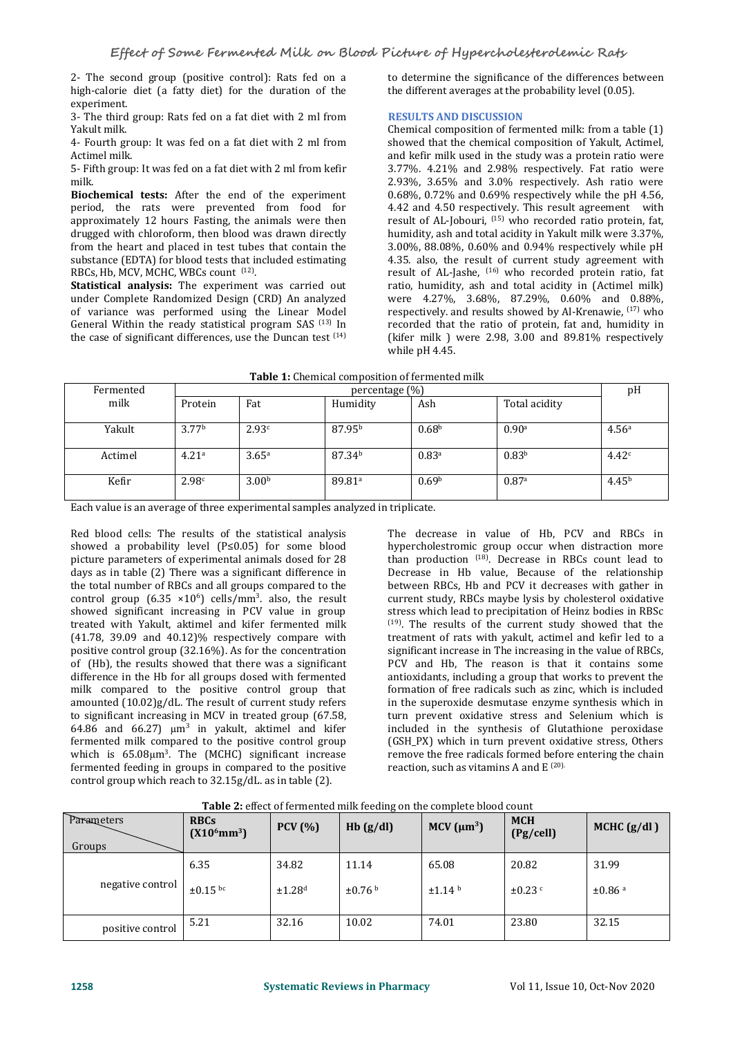2- The second group (positive control): Rats fed on a high-calorie diet (a fatty diet) for the duration of the experiment.

3- The third group: Rats fed on a fat diet with 2 ml from Yakult milk.

4- Fourth group: It was fed on a fat diet with 2 ml from Actimel milk.

5- Fifth group: It was fed on a fat diet with 2 ml from kefir

Biochemical tests: After the end of the experiment period, the rats were prevented from food for approximately 12 hours Fasting, the animals were then drugged with chloroform, then blood was drawn directly from the heart and placed in test tubes that contain the substance (EDTA) for blood tests that included estimating RBCs, Hb, MCV, MCHC, WBCs count <sup>(12)</sup>.

. **Statistical analysis:** The experiment was carried out under Complete Randomized Design (CRD) An analyzed of variance was performed using the Linear Model General Within the ready statistical program SAS<sup>(13)</sup> In the case of significant differences, use the Duncan test  $(14)$  (kifer m

to determine the significance of the differences between the different averages at the probability level (0.05).

# **RESULTS AND DISCUSSION**

 $\lim_{n \to \infty}$  recorded that the ratio of protein, fat and, humidity in Chemical composition of fermented milk: from a table (1) showed that the chemical composition of Yakult, Actimel, and kefir milk used in the study was a protein ratio were 3.77%. 4.21% and 2.98% respectively. Fat ratio were 2.93%, 3.65% and 3.0% respectively. Ash ratio were 0.68%, 0.72% and 0.69% respectively while the pH 4.56, 4.42 and 4.50 respectively. This result agreement with result of AL-Jobouri, <sup>(15)</sup> who recorded ratio protein, fat, humidity, ash and total acidity in Yakult milk were 3.37%, 3.00%, 88.08%, 0.60% and 0.94% respectively while pH 4.35. also, the result of current study agreement with result of AL-Jashe, (16) who recorded protein ratio, fat ratio, humidity, ash and total acidity in (Actimel milk) were 4.27%, 3.68%, 87.29%, 0.60% and 0.88%, respectively. and results showed by Al-Krenawie,  $^{(17)}$  who (kifer milk ) were 2.98, 3.00 and 89.81% respectively while pH 4.45.

| <b>Table 1:</b> Chemical composition of fermented milk |  |
|--------------------------------------------------------|--|
|                                                        |  |

| Fermented | percentage (%)    |                   |                      |                   |                   |                   |
|-----------|-------------------|-------------------|----------------------|-------------------|-------------------|-------------------|
| milk      | Protein           | Fat               | Humidity             | Ash               | Total acidity     |                   |
| Yakult    | 3.77 <sup>b</sup> | 2.93c             | 87.95 <sup>b</sup>   | 0.68 <sup>b</sup> | 0.90 <sup>a</sup> | 4.56 <sup>a</sup> |
| Actimel   | 4.21 <sup>a</sup> | 3.65 <sup>a</sup> | 87.34 <sup>b</sup>   | 0.83 <sup>a</sup> | 0.83 <sup>b</sup> | 4.42c             |
| Kefir     | 2.98 <sup>c</sup> | 3.00 <sup>b</sup> | $89.81$ <sup>a</sup> | 0.69 <sup>b</sup> | 0.87a             | 4.45 <sup>b</sup> |

Each value is an average of three experimental samples analyzed in triplicate.

Red blood cells: The results of the statistical analysis showed a probability level (P≤0.05) for some blood picture parameters of experimental animals dosed for 28 days as in table (2) There was a significant difference in the total number of RBCs and all groups compared to the control group  $(6.35 \times 10^6)$  cells/mm<sup>3</sup>. also, the result currer showed significant increasing in PCV value in group treated with Yakult, aktimel and kifer fermented milk (41.78, 39.09 and 40.12)% respectively compare with positive control group (32.16%). As for the concentration of (Hb), the results showed that there was a significant difference in the Hb for all groups dosed with fermented milk compared to the positive control group that amounted (10.02)g/dL. The result of current study refers to significant increasing in MCV in treated group (67.58, 64.86 and 66.27)  $\mu$ m<sup>3</sup> in yakult, aktimel and kifer included fermented milk compared to the positive control group which is  $65.08\mu m^3$ . The (MCHC) significant increase see the remove the f fermented feeding in groups in compared to the positive control group which reach to 32.15g/dL. as in table (2).

The decrease in value of Hb, PCV and RBCs in hypercholestromic group occur when distraction more than production (18) . Decrease in RBCs count lead to Decrease in Hb value, Because of the relationship between RBCs, Hb and PCV it decreases with gather in current study, RBCs maybe lysis by cholesterol oxidative stress which lead to precipitation of Heinz bodies in RBSc (19) . The results of the current study showed that the treatment of rats with yakult, actimel and kefir led to a significant increase in The increasing in the value of RBCs, PCV and Hb, The reason is that it contains some antioxidants, including a group that works to prevent the formation of free radicals such as zinc, which is included in the superoxide desmutase enzyme synthesis which in turn prevent oxidative stress and Selenium which is included in the synthesis of Glutathione peroxidase (GSH\_PX) which in turn prevent oxidative stress, Others remove the free radicals formed before entering the chain reaction, such as vitamins A and  $E^{(20)}$ .

| Parameters<br>Groups | <b>RBCs</b><br>$(X10^6$ mm <sup>3</sup> ) | PCV(%)             | Hb(g/dl)     | MCV $(\mu m^3)$    | <b>MCH</b><br>(Pg/cell) | MCHC $(g/dl)$      |
|----------------------|-------------------------------------------|--------------------|--------------|--------------------|-------------------------|--------------------|
|                      | 6.35                                      | 34.82              | 11.14        | 65.08              | 20.82                   | 31.99              |
| negative control     | $\pm 0.15$ bc                             | ±1.28 <sup>d</sup> | $\pm 0.76$ b | ±1.14 <sup>b</sup> | $\pm 0.23$ c            | ±0.86 <sup>a</sup> |
| positive control     | 5.21                                      | 32.16              | 10.02        | 74.01              | 23.80                   | 32.15              |

**Table 2:** effect of fermented milk feeding on the complete blood count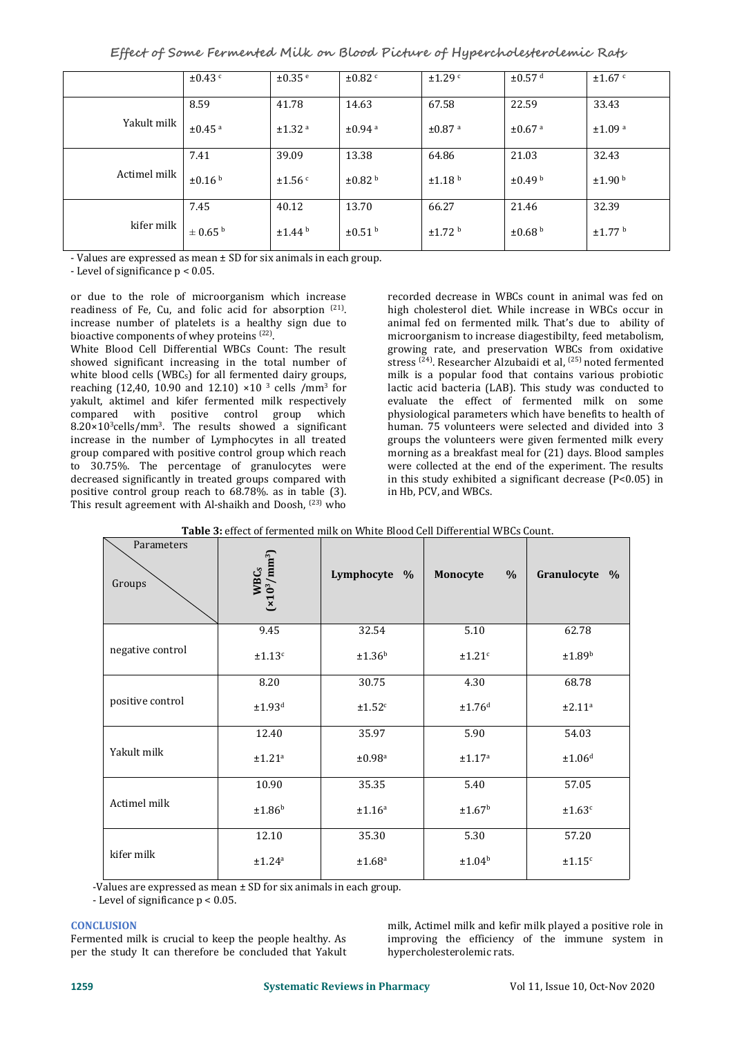**Effect of Some Fermented Milk on Blood Picture of Hypercholesterolemic Rats**

|              | $\pm 0.43$              | ±0.35e             | $\pm 0.82$ <sup>c</sup> | $\pm$ 1.29 $\degree$ | $\pm 0.57$ <sup>d</sup> | $\pm 1.67$ c            |
|--------------|-------------------------|--------------------|-------------------------|----------------------|-------------------------|-------------------------|
|              | 8.59                    | 41.78              | 14.63                   | 67.58                | 22.59                   | 33.43                   |
| Yakult milk  | $±0.45$ <sup>a</sup>    | ±1.32 <sup>a</sup> | $±0.94$ <sup>a</sup>    | ±0.87 <sup>a</sup>   | $\pm 0.67$ <sup>a</sup> | ±1.09 <sup>a</sup>      |
|              | 7.41                    | 39.09              | 13.38                   | 64.86                | 21.03                   | 32.43                   |
| Actimel milk | $\pm 0.16$ <sup>b</sup> | ±1.56 <sup>c</sup> | $\pm 0.82$ b            | ±1.18 <sup>b</sup>   | $\pm 0.49$ b            | ±1.90 <sup>b</sup>      |
|              | 7.45                    | 40.12              | 13.70                   | 66.27                | 21.46                   | 32.39                   |
| kifer milk   | $\pm$ 0.65 <sup>b</sup> | ±1.44 <sup>b</sup> | $\pm 0.51$ b            | ±1.72 <sup>b</sup>   | $\pm 0.68$ b            | $\pm$ 1.77 <sup>b</sup> |

- Values are expressed as mean ± SD for six animals in each group.

- Level of significance p < 0.05.

or due to the role of microorganism which increase readiness of Fe, Cu, and folic acid for absorption <sup>(21)</sup>. high choles . increase number of platelets is a healthy sign due to bioactive components of whey proteins <sup>(22)</sup>. .

White Blood Cell Differential WBCs Count: The result showed significant increasing in the total number of white blood cells (WBCs) for all fermented dairy groups, reaching (12,40, 10.90 and 12.10)  $\times$ 10<sup>3</sup> cells /mm<sup>3</sup> for lac yakult, aktimel and kifer fermented milk respectively compared with positive control group which 8.20×10 <sup>3</sup>cells/mm<sup>3</sup> . The results showed a significant increase in the number of Lymphocytes in all treated group compared with positive control group which reach to 30.75%. The percentage of granulocytes were decreased significantly in treated groups compared with positive control group reach to 68.78%. as in table (3). This result agreement with Al-shaikh and Doosh, <sup>(23)</sup> who

for lactic acid bacteria (LAB). This study was conducted to recorded decrease in WBCs count in animal was fed on high cholesterol diet. While increase in WBCs occur in animal fed on fermented milk. That's due to ability of microorganism to increase diagestibilty, feed metabolism, growing rate, and preservation WBCs from oxidative stress <sup>(24)</sup>. Researcher Alzubaidi et al, <sup>(25)</sup> noted fermented milk is a popular food that contains various probiotic evaluate the effect of fermented milk on some physiological parameters which have benefits to health of human. 75 volunteers were selected and divided into 3 groups the volunteers were given fermented milk every morning as a breakfast meal for (21) days. Blood samples were collected at the end of the experiment. The results in this study exhibited a significant decrease (P<0.05) in in Hb, PCV, and WBCs.

| Parameters<br>Groups | $WBCs$<br>( $\times$ 10 <sup>3</sup> /mm <sup>3</sup> ) | Lymphocyte %       | $\frac{0}{0}$<br>Monocyte | Granulocyte %      |
|----------------------|---------------------------------------------------------|--------------------|---------------------------|--------------------|
|                      | 9.45                                                    | 32.54              | 5.10                      | 62.78              |
| negative control     | ±1.13 <sup>c</sup>                                      | ±1.36 <sup>b</sup> | ±1.21 <sup>c</sup>        | ±1.89 <sup>b</sup> |
|                      | 8.20                                                    | 30.75              | 4.30                      | 68.78              |
| positive control     | ±1.93 <sup>d</sup>                                      | ±1.52 <sup>c</sup> | ±1.76 <sup>d</sup>        | ±2.11 <sup>a</sup> |
|                      | 12.40                                                   | 35.97              | 5.90                      | 54.03              |
| Yakult milk          | ±1.21 <sup>a</sup>                                      | $\pm 0.98^{\rm a}$ | ±1.17 <sup>a</sup>        | ±1.06 <sup>d</sup> |
|                      | 10.90                                                   | 35.35              | 5.40                      | 57.05              |
| Actimel milk         | ±1.86 <sup>b</sup>                                      | $\pm 1.16^{\rm a}$ | ±1.67 <sup>b</sup>        | ±1.63 <sup>c</sup> |
|                      | 12.10                                                   | 35.30              | 5.30                      | 57.20              |
| kifer milk           | $\pm 1.24^{\rm a}$                                      | $\pm 1.68^{\rm a}$ | ±1.04 <sup>b</sup>        | ±1.15 <sup>c</sup> |

|  | <b>Table 3:</b> effect of fermented milk on White Blood Cell Differential WBCs Count. |  |
|--|---------------------------------------------------------------------------------------|--|
|  |                                                                                       |  |

-Values are expressed as mean ± SD for six animals in each group.

- Level of significance p < 0.05.

# **CONCLUSION**

Fermented milk is crucial to keep the people healthy. As

**CONCLUSION**<br>
per the study It can therefore be concluded that Yakult milk per the study It can therefore be concluded that Yakult per the study It can therefore be concluded that Yakult per the study It can therefore be c improving the efficiency of the immune system in hypercholesterolemic rats.